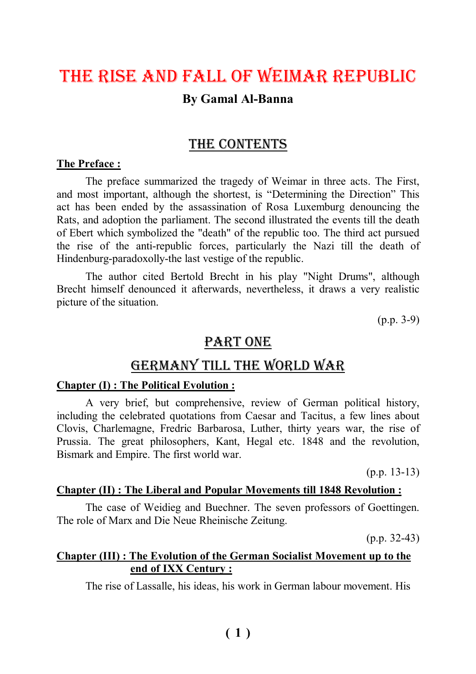# The rise and fall of Weimar republic **By Gamal Al-Banna**

### THE CONTENTS

#### **The Preface :**

The preface summarized the tragedy of Weimar in three acts. The First, and most important, although the shortest, is "Determining the Direction" This act has been ended by the assassination of Rosa Luxemburg denouncing the Rats, and adoption the parliament. The second illustrated the events till the death of Ebert which symbolized the "death" of the republic too. The third act pursued the rise of the anti-republic forces, particularly the Nazi till the death of Hindenburg-paradoxolly-the last vestige of the republic.

The author cited Bertold Brecht in his play "Night Drums", although Brecht himself denounced it afterwards, nevertheless, it draws a very realistic picture of the situation.

(p.p. 3-9)

### PART ONE

### Germany Till The World War

#### **Chapter (I) : The Political Evolution :**

A very brief, but comprehensive, review of German political history, including the celebrated quotations from Caesar and Tacitus, a few lines about Clovis, Charlemagne, Fredric Barbarosa, Luther, thirty years war, the rise of Prussia. The great philosophers, Kant, Hegal etc. 1848 and the revolution, Bismark and Empire. The first world war.

(p.p. 13-13)

#### **Chapter (II) : The Liberal and Popular Movements till 1848 Revolution :**

The case of Weidieg and Buechner. The seven professors of Goettingen. The role of Marx and Die Neue Rheinische Zeitung.

 $(p.p. 32-43)$ 

### **Chapter (III) : The Evolution of the German Socialist Movement up to the end of IXX Century :**

The rise of Lassalle, his ideas, his work in German labour movement. His

### $(1)$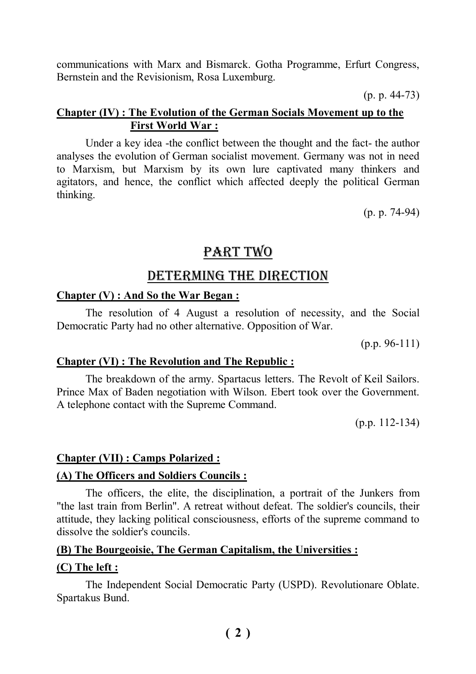communications with Marx and Bismarck. Gotha Programme, Erfurt Congress, Bernstein and the Revisionism, Rosa Luxemburg.

(p. p. 44-73)

### **Chapter (IV) : The Evolution of the German Socials Movement up to the First World War :**

Under a key idea -the conflict between the thought and the fact- the author analyses the evolution of German socialist movement. Germany was not in need to Marxism, but Marxism by its own lure captivated many thinkers and agitators, and hence, the conflict which affected deeply the political German thinking.

(p. p. 74-94)

# PART TWO

# deTerminG The direcTion

### **Chapter (V) : And So the War Began :**

The resolution of 4 August a resolution of necessity, and the Social Democratic Party had no other alternative. Opposition of War.

(p.p. 96-111)

### **Chapter (VI) : The Revolution and The Republic :**

The breakdown of the army. Spartacus letters. The Revolt of Keil Sailors. Prince Max of Baden negotiation with Wilson. Ebert took over the Government. A telephone contact with the Supreme Command.

(p.p. 112-134)

### **Chapter (VII) : Camps Polarized :**

### **(A) The Officers and Soldiers Councils :**

The officers, the elite, the disciplination, a portrait of the Junkers from "the last train from Berlin". A retreat without defeat. The soldier's councils, their attitude, they lacking political consciousness, efforts of the supreme command to dissolve the soldier's councils.

### **(B) The Bourgeoisie, The German Capitalism, the Universities :**

### **(C) The left :**

The Independent Social Democratic Party (USPD). Revolutionare Oblate. Spartakus Bund.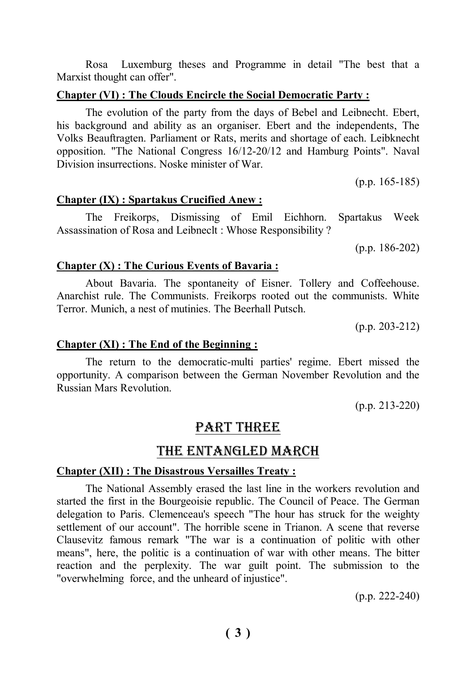Rosa Luxemburg theses and Programme in detail "The best that a Marxist thought can offer".

### **Chapter (VI) : The Clouds Encircle the Social Democratic Party :**

The evolution of the party from the days of Bebel and Leibnecht. Ebert, his background and ability as an organiser. Ebert and the independents, The Volks Beauftragten. Parliament or Rats, merits and shortage of each. Leibknecht opposition. "The National Congress 16/12-20/12 and Hamburg Points". Naval Division insurrections. Noske minister of War.

(p.p. 165-185)

### **Chapter (IX) : Spartakus Crucified Anew :**

The Freikorps, Dismissing of Emil Eichhorn. Spartakus Week Assassination of Rosa and Leibneclt : Whose Responsibility ?

(p.p. 186-202)

### **Chapter (X) : The Curious Events of Bavaria :**

About Bavaria. The spontaneity of Eisner. Tollery and Coffeehouse. Anarchist rule. The Communists. Freikorps rooted out the communists. White Terror. Munich, a nest of mutinies. The Beerhall Putsch.

(p.p. 203-212)

### **Chapter (XI) : The End of the Beginning :**

The return to the democratic-multi parties' regime. Ebert missed the opportunity. A comparison between the German November Revolution and the Russian Mars Revolution.

(p.p. 213-220)

# PART THREE

### The enTanGled march

### **Chapter (XII) : The Disastrous Versailles Treaty :**

The National Assembly erased the last line in the workers revolution and started the first in the Bourgeoisie republic. The Council of Peace. The German delegation to Paris. Clemenceau's speech "The hour has struck for the weighty settlement of our account". The horrible scene in Trianon. A scene that reverse Clausevitz famous remark "The war is a continuation of politic with other means", here, the politic is a continuation of war with other means. The bitter reaction and the perplexity. The war guilt point. The submission to the "overwhelming force, and the unheard of injustice".

(p.p. 222-240)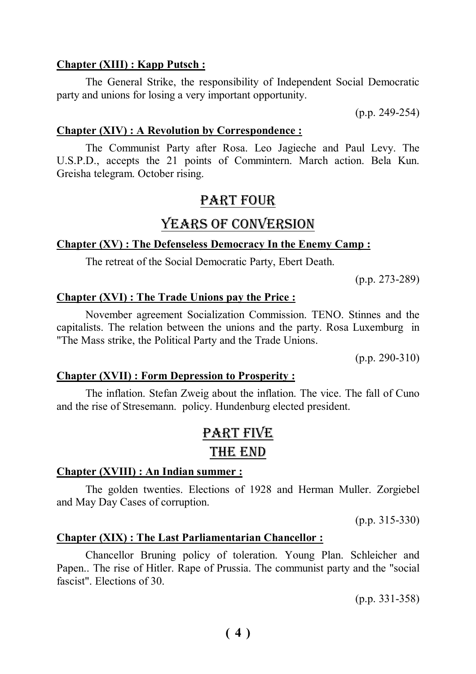#### **Chapter (XIII) : Kapp Putsch :**

The General Strike, the responsibility of Independent Social Democratic party and unions for losing a very important opportunity.

(p.p. 249-254)

#### **Chapter (XIV) : A Revolution by Correspondence :**

The Communist Party after Rosa. Leo Jagieche and Paul Levy. The U.S.P.D., accepts the 21 points of Commintern. March action. Bela Kun. Greisha telegram. October rising.

### PART FOUR

### YEARS OF CONVERSION

#### **Chapter (XV) : The Defenseless Democracy In the Enemy Camp :**

The retreat of the Social Democratic Party, Ebert Death.

(p.p. 273-289)

#### **Chapter (XVI) : The Trade Unions pay the Price :**

November agreement Socialization Commission. TENO. Stinnes and the capitalists. The relation between the unions and the party. Rosa Luxemburg in "The Mass strike, the Political Party and the Trade Unions.

(p.p. 290-310)

#### **Chapter (XVII) : Form Depression to Prosperity :**

The inflation. Stefan Zweig about the inflation. The vice. The fall of Cuno and the rise of Stresemann. policy. Hundenburg elected president.

# parT fiVe The end

### **Chapter (XVIII) : An Indian summer :**

The golden twenties. Elections of 1928 and Herman Muller. Zorgiebel and May Day Cases of corruption.

(p.p. 315-330)

### **Chapter (XIX) : The Last Parliamentarian Chancellor :**

Chancellor Bruning policy of toleration. Young Plan. Schleicher and Papen.. The rise of Hitler. Rape of Prussia. The communist party and the "social fascist". Elections of 30.

(p.p. 331-358)